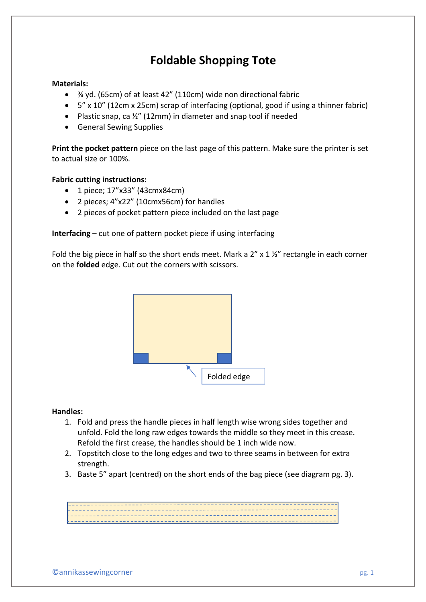## **Foldable Shopping Tote**

### **Materials:**

- ¾ yd. (65cm) of at least 42" (110cm) wide non directional fabric
- 5" x 10" (12cm x 25cm) scrap of interfacing (optional, good if using a thinner fabric)
- Plastic snap, ca ½" (12mm) in diameter and snap tool if needed
- General Sewing Supplies

**Print the pocket pattern** piece on the last page of this pattern. Make sure the printer is set to actual size or 100%.

### **Fabric cutting instructions:**

- 1 piece; 17"x33" (43cmx84cm)
- 2 pieces; 4"x22" (10cmx56cm) for handles
- 2 pieces of pocket pattern piece included on the last page

**Interfacing** – cut one of pattern pocket piece if using interfacing

Fold the big piece in half so the short ends meet. Mark a  $2'' \times 1 \frac{1}{2}''$  rectangle in each corner on the **folded** edge. Cut out the corners with scissors.



#### **Handles:**

- 1. Fold and press the handle pieces in half length wise wrong sides together and unfold. Fold the long raw edges towards the middle so they meet in this crease. Refold the first crease, the handles should be 1 inch wide now.
- 2. Topstitch close to the long edges and two to three seams in between for extra strength.
- 3. Baste 5" apart (centred) on the short ends of the bag piece (see diagram pg. 3).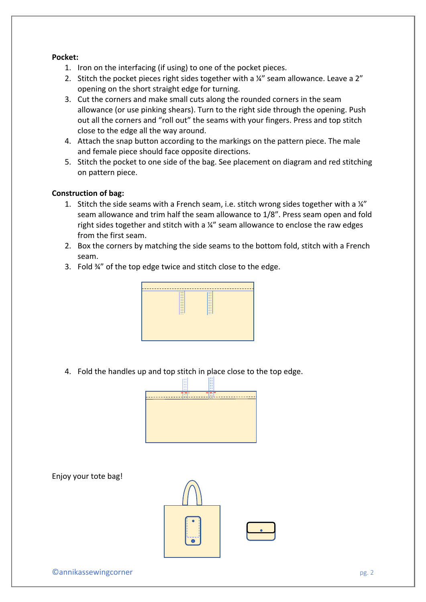#### **Pocket:**

- 1. Iron on the interfacing (if using) to one of the pocket pieces.
- 2. Stitch the pocket pieces right sides together with a ¼" seam allowance. Leave a 2" opening on the short straight edge for turning.
- 3. Cut the corners and make small cuts along the rounded corners in the seam allowance (or use pinking shears). Turn to the right side through the opening. Push out all the corners and "roll out" the seams with your fingers. Press and top stitch close to the edge all the way around.
- 4. Attach the snap button according to the markings on the pattern piece. The male and female piece should face opposite directions.
- 5. Stitch the pocket to one side of the bag. See placement on diagram and red stitching on pattern piece.

#### **Construction of bag:**

- 1. Stitch the side seams with a French seam, i.e. stitch wrong sides together with a  $\frac{1}{4}$ seam allowance and trim half the seam allowance to 1/8". Press seam open and fold right sides together and stitch with a ¼" seam allowance to enclose the raw edges from the first seam.
- 2. Box the corners by matching the side seams to the bottom fold, stitch with a French seam.
- 3. Fold ¾" of the top edge twice and stitch close to the edge.



4. Fold the handles up and top stitch in place close to the top edge.



Enjoy your tote bag!

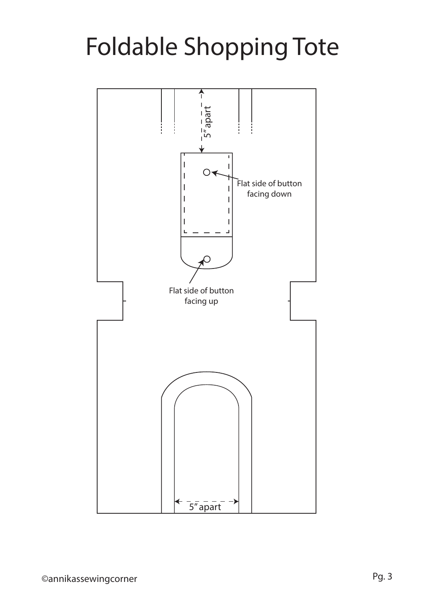# Foldable Shopping Tote